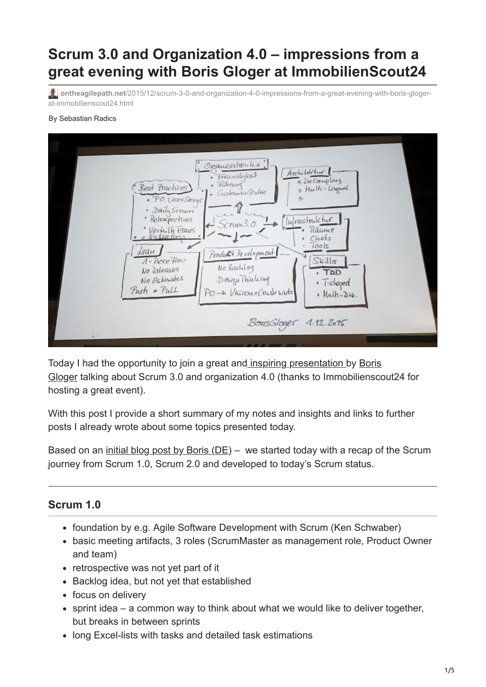# **Scrum 3.0 and Organization 4.0 – impressions from a great evening with Boris Gloger at ImmobilienScout24**

**ontheagilepath.net**[/2015/12/scrum-3-0-and-organization-4-0-impressions-from-a-great-evening-with-boris-gloger](https://www.ontheagilepath.net/2015/12/scrum-3-0-and-organization-4-0-impressions-from-a-great-evening-with-boris-gloger-at-immobilienscout24.html)at-immobilienscout24.html

#### By Sebastian Radics



[Today I had the opportunity to join a great and](https://borisgloger.com/) [inspiring presentation](https://www.xing.com/events/boris-gloger-scrum-3-0-scrum-veranderte-1613082?sc_o=as_e) [by Boris](https://borisgloger.com/) Gloger talking about Scrum 3.0 and organization 4.0 (thanks to Immobilienscout24 for hosting a great event).

With this post I provide a short summary of my notes and insights and links to further posts I already wrote about some topics presented today.

Based on an initial blog post by Boris  $(DE)$  – we started today with a recap of the Scrum journey from Scrum 1.0, Scrum 2.0 and developed to today's Scrum status.

## **Scrum 1.0**

- foundation by e.g. Agile Software Development with Scrum (Ken Schwaber)
- basic meeting artifacts, 3 roles (ScrumMaster as management role, Product Owner and team)
- retrospective was not yet part of it
- Backlog idea, but not yet that established
- focus on delivery
- sprint idea a common way to think about what we would like to deliver together, but breaks in between sprints
- long Excel-lists with tasks and detailed task estimations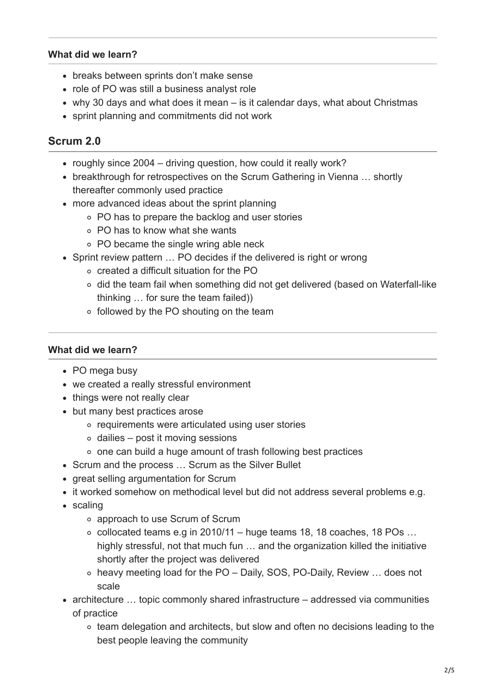## **What did we learn?**

- breaks between sprints don't make sense
- role of PO was still a business analyst role
- why 30 days and what does it mean is it calendar days, what about Christmas
- sprint planning and commitments did not work

## **Scrum 2.0**

- roughly since 2004 driving question, how could it really work?
- breakthrough for retrospectives on the Scrum Gathering in Vienna ... shortly thereafter commonly used practice
- more advanced ideas about the sprint planning
	- PO has to prepare the backlog and user stories
	- PO has to know what she wants
	- PO became the single wring able neck
- Sprint review pattern ... PO decides if the delivered is right or wrong
	- created a difficult situation for the PO
	- did the team fail when something did not get delivered (based on Waterfall-like thinking … for sure the team failed))
	- followed by the PO shouting on the team

## **What did we learn?**

- PO mega busy
- we created a really stressful environment
- things were not really clear
- but many best practices arose
	- requirements were articulated using user stories
	- $\circ$  dailies post it moving sessions
	- one can build a huge amount of trash following best practices
- Scrum and the process ... Scrum as the Silver Bullet
- great selling argumentation for Scrum
- it worked somehow on methodical level but did not address several problems e.g.
- scaling
	- approach to use Scrum of Scrum
	- $\circ$  collocated teams e.g in 2010/11 huge teams 18, 18 coaches, 18 POs ... highly stressful, not that much fun … and the organization killed the initiative shortly after the project was delivered
	- heavy meeting load for the PO Daily, SOS, PO-Daily, Review … does not scale
- architecture … topic commonly shared infrastructure addressed via communities of practice
	- team delegation and architects, but slow and often no decisions leading to the best people leaving the community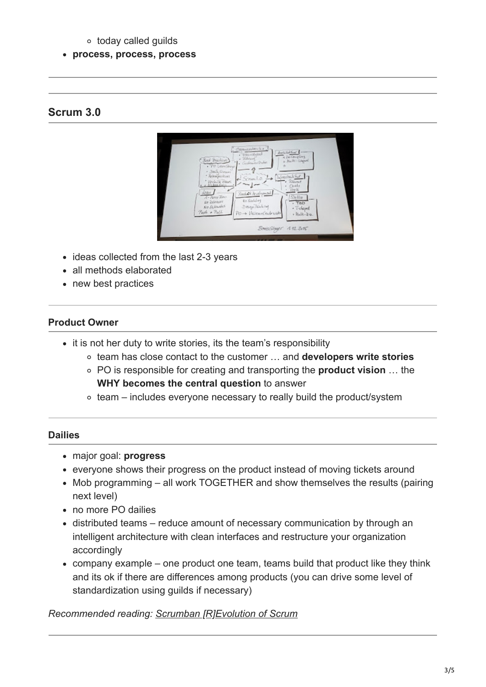## today called guilds

## **process, process, process**

## **Scrum 3.0**



- ideas collected from the last 2-3 years
- all methods elaborated
- new best practices

## **Product Owner**

- it is not her duty to write stories, its the team's responsibility
	- team has close contact to the customer … and **developers write stories**
	- PO is responsible for creating and transporting the **product vision** … the **WHY becomes the central question** to answer
	- $\circ$  team includes everyone necessary to really build the product/system

## **Dailies**

- major goal: **progress**
- everyone shows their progress on the product instead of moving tickets around
- Mob programming all work TOGETHER and show themselves the results (pairing next level)
- no more PO dailies
- distributed teams reduce amount of necessary communication by through an intelligent architecture with clean interfaces and restructure your organization accordingly
- company example one product one team, teams build that product like they think and its ok if there are differences among products (you can drive some level of standardization using guilds if necessary)

*Recommended reading: [Scrumban \[R\]Evolution of Scrum](http://www.ontheagilepath.net/?p=36)*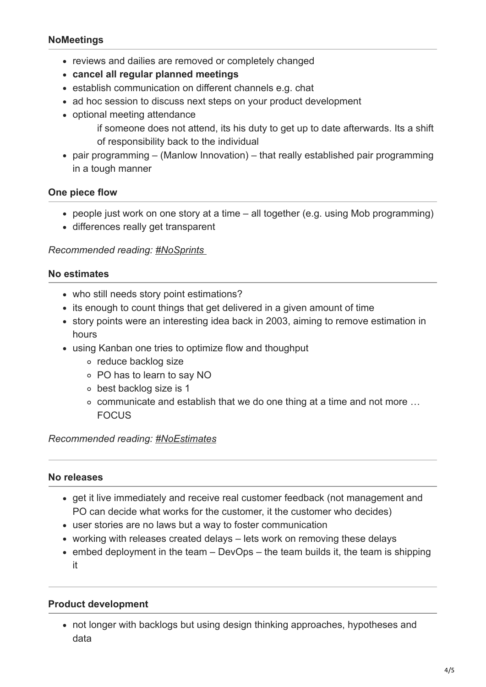## **NoMeetings**

- reviews and dailies are removed or completely changed
- **cancel all regular planned meetings**
- establish communication on different channels e.g. chat
- ad hoc session to discuss next steps on your product development
- optional meeting attendance
	- if someone does not attend, its his duty to get up to date afterwards. Its a shift of responsibility back to the individual
- pair programming (Manlow Innovation) that really established pair programming in a tough manner

## **One piece flow**

- people just work on one story at a time all together (e.g. using Mob programming)
- differences really get transparent

## *Recommended reading: [#NoSprints](http://www.ontheagilepath.net/?p=46)*

## **No estimates**

- who still needs story point estimations?
- its enough to count things that get delivered in a given amount of time
- story points were an interesting idea back in 2003, aiming to remove estimation in hours
- using Kanban one tries to optimize flow and thoughput
	- o reduce backlog size
	- PO has to learn to say NO
	- best backlog size is 1
	- communicate and establish that we do one thing at a time and not more … FOCUS

## *Recommended reading: [#NoEstimates](http://www.ontheagilepath.net/?p=26)*

#### **No releases**

- get it live immediately and receive real customer feedback (not management and PO can decide what works for the customer, it the customer who decides)
- user stories are no laws but a way to foster communication
- working with releases created delays lets work on removing these delays
- $\bullet$  embed deployment in the team DevOps the team builds it, the team is shipping it

## **Product development**

not longer with backlogs but using design thinking approaches, hypotheses and data